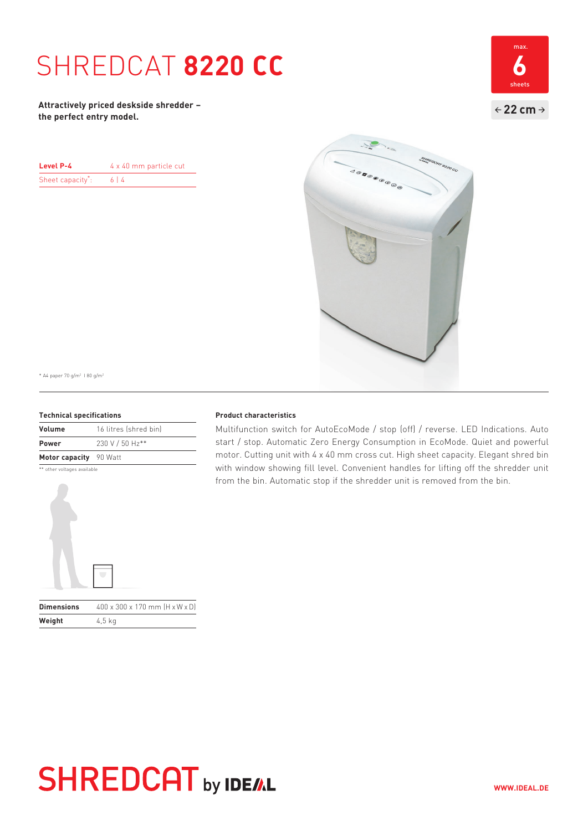### SHREDCAT **8220 CC 6**

**Attractively priced deskside shredder – the perfect entry model.**

| Level P-4        | 4 x 40 mm particle cut |
|------------------|------------------------|
| Sheet capacity*: | 614                    |



\* A4 paper 70 g/m2 I 80 g/m2

### **Technical specifications**

| Volume                 | 16 litres (shred bin) |
|------------------------|-----------------------|
| <b>Power</b>           | 230 V / 50 Hz**       |
| Motor capacity 90 Watt |                       |

\*\* other voltages available



### **Product characteristics**

Multifunction switch for AutoEcoMode / stop (off) / reverse. LED Indications. Auto start / stop. Automatic Zero Energy Consumption in EcoMode. Quiet and powerful motor. Cutting unit with 4 x 40 mm cross cut. High sheet capacity. Elegant shred bin with window showing fill level. Convenient handles for lifting off the shredder unit from the bin. Automatic stop if the shredder unit is removed from the bin.

# **SHREDCAT** by IDE/AL